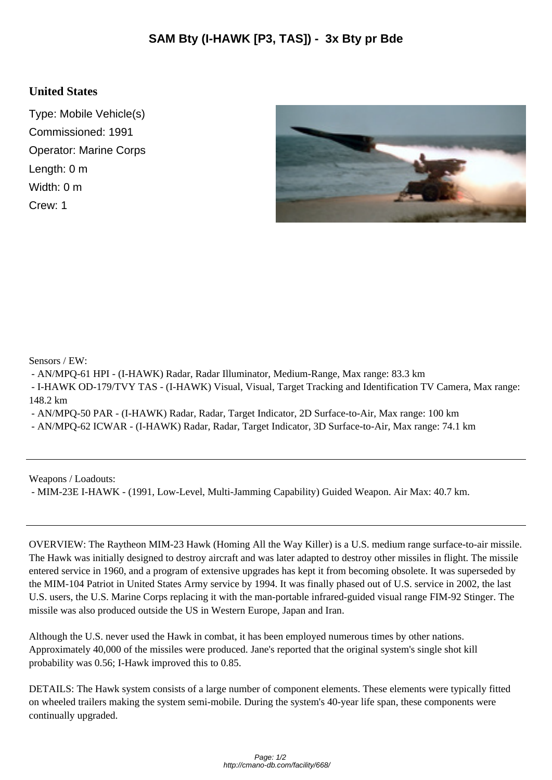## **United States**

Type: Mobile Vehicle(s) Commissioned: 1991 Operator: Marine Corps Length: 0 m Width: 0 m Crew: 1



Sensors / EW:

- AN/MPQ-61 HPI - (I-HAWK) Radar, Radar Illuminator, Medium-Range, Max range: 83.3 km

 - I-HAWK OD-179/TVY TAS - (I-HAWK) Visual, Visual, Target Tracking and Identification TV Camera, Max range: 148.2 km

- AN/MPQ-50 PAR - (I-HAWK) Radar, Radar, Target Indicator, 2D Surface-to-Air, Max range: 100 km

- AN/MPQ-62 ICWAR - (I-HAWK) Radar, Radar, Target Indicator, 3D Surface-to-Air, Max range: 74.1 km

Weapons / Loadouts:

- MIM-23E I-HAWK - (1991, Low-Level, Multi-Jamming Capability) Guided Weapon. Air Max: 40.7 km.

OVERVIEW: The Raytheon MIM-23 Hawk (Homing All the Way Killer) is a U.S. medium range surface-to-air missile. The Hawk was initially designed to destroy aircraft and was later adapted to destroy other missiles in flight. The missile entered service in 1960, and a program of extensive upgrades has kept it from becoming obsolete. It was superseded by the MIM-104 Patriot in United States Army service by 1994. It was finally phased out of U.S. service in 2002, the last U.S. users, the U.S. Marine Corps replacing it with the man-portable infrared-guided visual range FIM-92 Stinger. The missile was also produced outside the US in Western Europe, Japan and Iran.

Although the U.S. never used the Hawk in combat, it has been employed numerous times by other nations. Approximately 40,000 of the missiles were produced. Jane's reported that the original system's single shot kill probability was 0.56; I-Hawk improved this to 0.85.

DETAILS: The Hawk system consists of a large number of component elements. These elements were typically fitted on wheeled trailers making the system semi-mobile. During the system's 40-year life span, these components were continually upgraded.